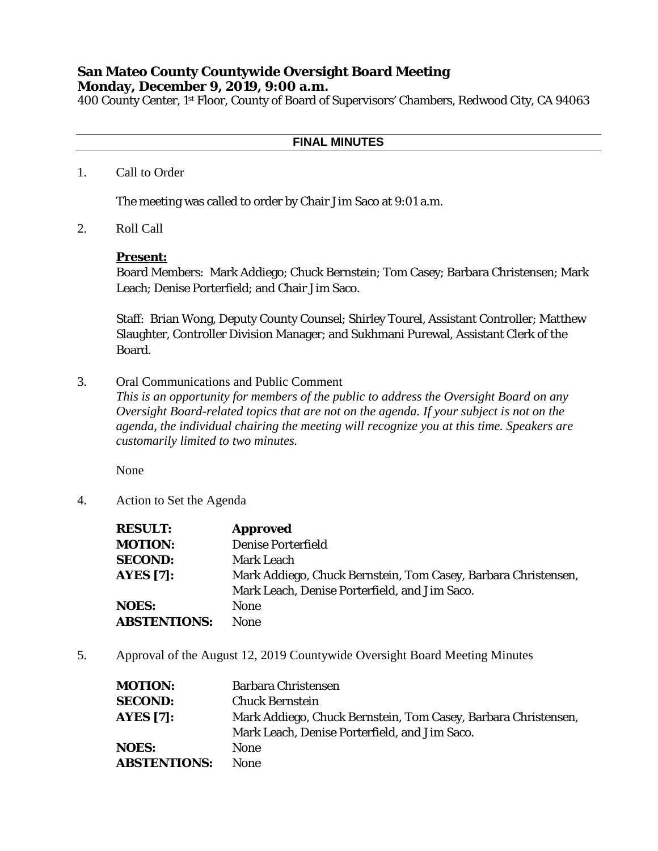## **San Mateo County Countywide Oversight Board Meeting Monday, December 9, 2019, 9:00 a.m.**

400 County Center, 1st Floor, County of Board of Supervisors' Chambers, Redwood City, CA 94063

## **FINAL MINUTES**

1. Call to Order

The meeting was called to order by Chair Jim Saco at 9:01 a.m.

2. Roll Call

## **Present:**

Board Members: Mark Addiego; Chuck Bernstein; Tom Casey; Barbara Christensen; Mark Leach; Denise Porterfield; and Chair Jim Saco.

Staff: Brian Wong, Deputy County Counsel; Shirley Tourel, Assistant Controller; Matthew Slaughter, Controller Division Manager; and Sukhmani Purewal, Assistant Clerk of the Board.

3. Oral Communications and Public Comment

*This is an opportunity for members of the public to address the Oversight Board on any Oversight Board-related topics that are not on the agenda. If your subject is not on the agenda, the individual chairing the meeting will recognize you at this time. Speakers are customarily limited to two minutes.*

None

4. Action to Set the Agenda

| <b>RESULT:</b>      | <b>Approved</b>                                                |
|---------------------|----------------------------------------------------------------|
| <b>MOTION:</b>      | <b>Denise Porterfield</b>                                      |
| <b>SECOND:</b>      | Mark Leach                                                     |
| <b>AYES</b> [7]:    | Mark Addiego, Chuck Bernstein, Tom Casey, Barbara Christensen, |
|                     | Mark Leach, Denise Porterfield, and Jim Saco.                  |
| <b>NOES:</b>        | <b>None</b>                                                    |
| <b>ABSTENTIONS:</b> | <b>None</b>                                                    |

5. Approval of the August 12, 2019 Countywide Oversight Board Meeting Minutes

| <b>MOTION:</b>      | <b>Barbara Christensen</b>                                     |
|---------------------|----------------------------------------------------------------|
| <b>SECOND:</b>      | <b>Chuck Bernstein</b>                                         |
| <b>AYES [7]:</b>    | Mark Addiego, Chuck Bernstein, Tom Casey, Barbara Christensen, |
|                     | Mark Leach, Denise Porterfield, and Jim Saco.                  |
| <b>NOES:</b>        | <b>None</b>                                                    |
| <b>ABSTENTIONS:</b> | <b>None</b>                                                    |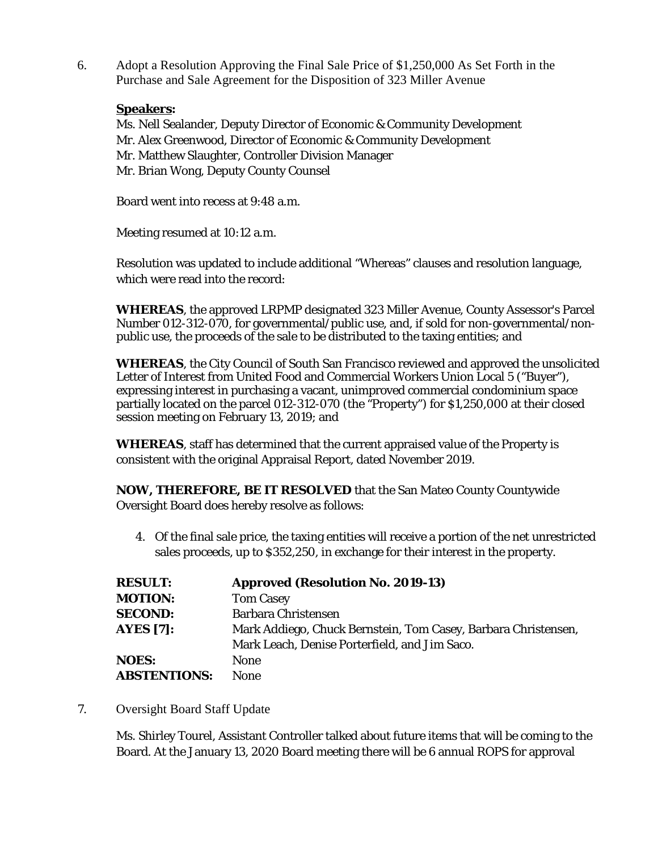6. Adopt a Resolution Approving the Final Sale Price of \$1,250,000 As Set Forth in the Purchase and Sale Agreement for the Disposition of 323 Miller Avenue

## **Speakers:**

Ms. Nell Sealander, Deputy Director of Economic & Community Development Mr. Alex Greenwood, Director of Economic & Community Development Mr. Matthew Slaughter, Controller Division Manager Mr. Brian Wong, Deputy County Counsel

Board went into recess at 9:48 a.m.

Meeting resumed at 10:12 a.m.

Resolution was updated to include additional "Whereas" clauses and resolution language, which were read into the record:

**WHEREAS**, the approved LRPMP designated 323 Miller Avenue, County Assessor's Parcel Number 012-312-070, for governmental/public use, and, if sold for non-governmental/nonpublic use, the proceeds of the sale to be distributed to the taxing entities; and

**WHEREAS**, the City Council of South San Francisco reviewed and approved the unsolicited Letter of Interest from United Food and Commercial Workers Union Local 5 ("Buyer"), expressing interest in purchasing a vacant, unimproved commercial condominium space partially located on the parcel 012-312-070 (the "Property") for \$1,250,000 at their closed session meeting on February 13, 2019; and

**WHEREAS**, staff has determined that the current appraised value of the Property is consistent with the original Appraisal Report, dated November 2019.

**NOW, THEREFORE, BE IT RESOLVED** that the San Mateo County Countywide Oversight Board does hereby resolve as follows:

4. Of the final sale price, the taxing entities will receive a portion of the net unrestricted sales proceeds, up to \$352,250, in exchange for their interest in the property.

| <b>RESULT:</b>      | <b>Approved (Resolution No. 2019-13)</b>                       |
|---------------------|----------------------------------------------------------------|
| <b>MOTION:</b>      | <b>Tom Casey</b>                                               |
| <b>SECOND:</b>      | <b>Barbara Christensen</b>                                     |
| <b>AYES</b> [7]:    | Mark Addiego, Chuck Bernstein, Tom Casey, Barbara Christensen, |
|                     | Mark Leach, Denise Porterfield, and Jim Saco.                  |
| <b>NOES:</b>        | <b>None</b>                                                    |
| <b>ABSTENTIONS:</b> | <b>None</b>                                                    |

7. Oversight Board Staff Update

Ms. Shirley Tourel, Assistant Controller talked about future items that will be coming to the Board. At the January 13, 2020 Board meeting there will be 6 annual ROPS for approval